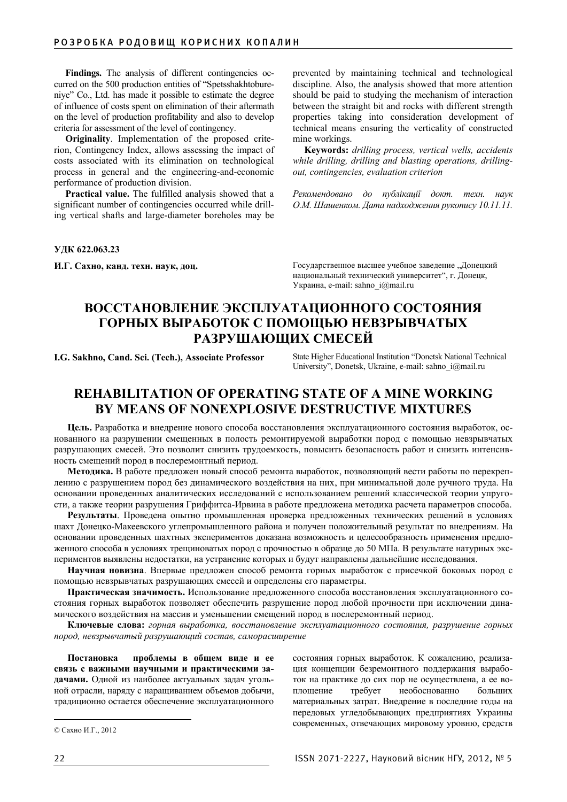Findings. The analysis of different contingencies occurred on the 500 production entities of "Spetsshakhtobureniye" Co., Ltd. has made it possible to estimate the degree of influence of costs spent on elimination of their aftermath on the level of production profitability and also to develop criteria for assessment of the level of contingency.

**Originality**. Implementation of the proposed criterion, Contingency Index, allows assessing the impact of costs associated with its elimination on technological process in general and the engineering-and-economic performance of production division.

**Practical value.** The fulfilled analysis showed that a significant number of contingencies occurred while drilling vertical shafts and large-diameter boreholes may be prevented by maintaining technical and technological discipline. Also, the analysis showed that more attention should be paid to studying the mechanism of interaction between the straight bit and rocks with different strength properties taking into consideration development of technical means ensuring the verticality of constructed mine workings.

**Keywords:** *drilling process, vertical wells, accidents while drilling, drilling and blasting operations, drillingout, contingencies, evaluation criterion* 

 $P$ екомендовано до публікації докт. техн. наук *Ɉ.Ɇ. ɒɚɲɟɧɤɨɦ. Ⱦɚɬɚ ɧɚɞɯɨɞɠɟɧɧɹ ɪɭɤɨɩɢɫɭ 10.11.11.*

**ɍȾɄ 622.063.23**

**И.Г. Сахно, канд. техн. наук, доц. или и е** Государственное высшее учебное заведение "Донецкий национальный технический университет", г. Донецк, Украина, e-mail: sahno\_i@mail.ru

## ВОССТАНОВЛЕНИЕ ЭКСПЛУАТАЦИОННОГО СОСТОЯНИЯ ГОРНЫХ ВЫРАБОТОК С ПОМОЩЬЮ НЕВЗРЫВЧАТЫХ РАЗРУШАЮЩИХ СМЕСЕЙ

**I.G. Sakhno, Cand. Sci. (Tech.), Associate Professor** State Higher Educational Institution "Donetsk National Technical University", Donetsk, Ukraine, e-mail: sahno\_i@mail.ru

# **REHABILITATION OF OPERATING STATE OF A MINE WORKING BY MEANS OF NONEXPLOSIVE DESTRUCTIVE MIXTURES**

**Цель.** Разработка и внедрение нового способа восстановления эксплуатационного состояния выработок, основанного на разрушении смещенных в полость ремонтируемой выработки пород с помощью невзрывчатых разрушающих смесей. Это позволит снизить трудоемкость, повысить безопасность работ и снизить интенсивность смещений пород в послеремонтный период.

Методика. В работе предложен новый способ ремонта выработок, позволяющий вести работы по перекреплению с разрушением пород без динамического воздействия на них, при минимальной доле ручного труда. На основании проведенных аналитических исследований с использованием решений классической теории упругости, а также теории разрушения Гриффитса-Ирвина в работе предложена методика расчета параметров способа.

Результаты. Проведена опытно промышленная проверка предложенных технических решений в условиях шахт Донецко-Макеевского углепромышленного района и получен положительный результат по внедрениям. На основании проведенных шахтных экспериментов доказана возможность и целесообразность применения предложенного способа в условиях трещиноватых пород с прочностью в образце до 50 МПа. В результате натурных экспериментов выявлены недостатки, на устранение которых и будут направлены дальнейшие исследования.

Научная новизна. Впервые предложен способ ремонта горных выработок с присечкой боковых пород с помощью невзрывчатых разрушающих смесей и определены его параметры.

Практическая значимость. Использование предложенного способа восстановления эксплуатационного состояния горных выработок позволяет обеспечить разрушение пород любой прочности при исключении динамического воздействия на массив и уменьшении смещений пород в послеремонтный период.

**Ключевые слова:** горная выработка, восстановление эксплуатационного состояния, разрушение горных  $n$ ород, невзрывчатый разрушающий состав, саморасширение

Постановка проблемы в общем виде и ее связь с важными научными и практическими задачами. Одной из наиболее актуальных задач угольной отрасли, наряду с наращиванием объемов добычи, традиционно остается обеспечение эксплуатационного

состояния горных выработок. К сожалению, реализация концепции безремонтного поддержания выработок на практике до сих пор не осуществлена, а ее воплощение требует необоснованно больших материальных затрат. Внедрение в последние годы на передовых угледобывающих предприятиях Украины современных, отвечающих мировому уровню, средств

<sup>©</sup> Сахно И.Г., 2012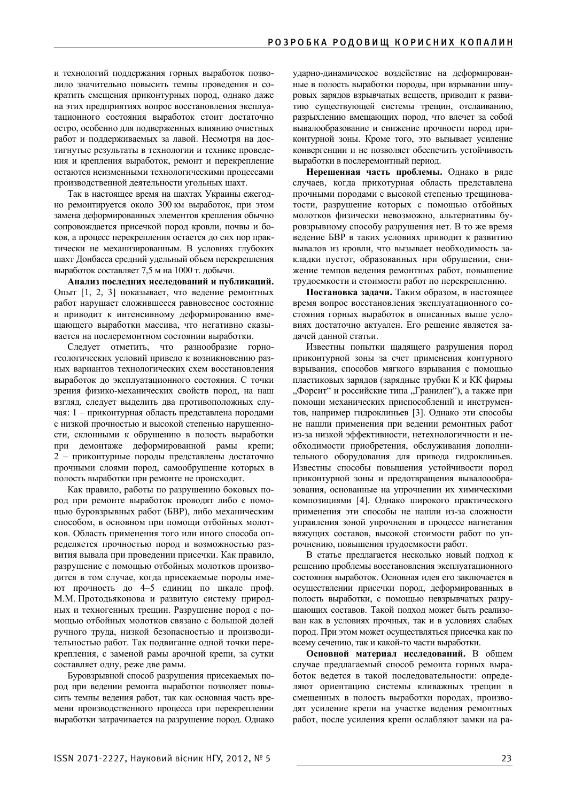и технологий поддержания горных выработок позволило значительно повысить темпы проведения и сократить смещения приконтурных пород, однако даже на этих предприятиях вопрос восстановления эксплуатационного состояния выработок стоит достаточно остро, особенно для подверженных влиянию очистных работ и поддерживаемых за лавой. Несмотря на достигнутые результаты в технологии и технике проведения и крепления выработок, ремонт и перекрепление остаются неизменными технологическими процессами производственной деятельности угольных шахт.

Так в настоящее время на шахтах Украины ежегодно ремонтируется около 300 км выработок, при этом замена деформированных элементов крепления обычно сопровождается присечкой пород кровли, почвы и боков, а процесс перекрепления остается до сих пор практически не механизированным. В условиях глубоких шахт Донбасса средний удельный объем перекрепления выработок составляет 7,5 м на 1000 т. добычи.

Анализ последних исследований и публикаций. Опыт [1, 2, 3] показывает, что ведение ремонтных работ нарушает сложившееся равновесное состояние и приводит к интенсивному деформированию вмещающего выработки массива, что негативно сказывается на послеремонтном состоянии выработки.

Следует отметить, что разнообразие горногеологических условий привело к возникновению разных вариантов технологических схем восстановления выработок до эксплуатационного состояния. С точки зрения физико-механических свойств пород, на наш взгляд, следует выделить два противоположных случая: 1 – приконтурная область представлена породами с низкой прочностью и высокой степенью нарушенности, склонными к обрушению в полость выработки при демонтаже деформированной рамы крепи; 2 – приконтурные породы представлены достаточно прочными слоями пород, самообрушение которых в полость выработки при ремонте не происходит.

Как правило, работы по разрушению боковых пород при ремонте выработок проводят либо с помощью буровзрывных работ (БВР), либо механическим способом, в основном при помощи отбойных молотков. Область применения того или иного способа определяется прочностью пород и возможностью развития вывала при проведении присечки. Как правило, разрушение с помощью отбойных молотков производится в том случае, когда присекаемые породы имеют прочность до 4–5 единиц по шкале проф. М.М. Протодьяконова и развитую систему природных и техногенных трещин. Разрушение пород с помощью отбойных молотков связано с большой долей ручного труда, низкой безопасностью и производительностью работ. Так подвигание одной точки перекрепления, с заменой рамы арочной крепи, за сутки составляет одну, реже две рамы.

Буровзрывной способ разрушения присекаемых пород при ведении ремонта выработки позволяет повысить темпы ведения работ, так как основная часть времени производственного процесса при перекреплении выработки затрачивается на разрушение пород. Однако ударно-динамическое воздействие на деформированные в полость выработки породы, при взрывании шпуровых зарядов взрывчатых веществ, приводит к развитию существующей системы трещин, отслаиванию, разрыхлению вмещающих пород, что влечет за собой вывалообразование и снижение прочности пород приконтурной зоны. Кроме того, это вызывает усиление конвергенции и не позволяет обеспечить устойчивость выработки в послеремонтный период.

Нерешенная часть проблемы. Однако в ряде случаев, когда прикотурная область представлена прочными породами с высокой степенью трещиноватости, разрушение которых с помощью отбойных молотков физически невозможно, альтернативы буровзрывному способу разрушения нет. В то же время ведение БВР в таких условиях приводит к развитию вывалов из кровли, что вызывает необходимость закладки пустот, образованных при обрушении, снижение темпов ведения ремонтных работ, повышение трудоемкости и стоимости работ по перекреплению.

Постановка задачи. Таким образом, в настоящее время вопрос восстановления эксплуатационного состояния горных выработок в описанных выше условиях достаточно актуален. Его решение является задачей данной статьи.

Известны попытки щадящего разрушения пород приконтурной зоны за счет применения контурного взрывания, способов мягкого взрывания с помощью пластиковых зарядов (зарядные трубки К и КК фирмы "Форсит" и российские типа "Гранилен"), а также при помощи механических приспособлений и инструментов, например гидроклиньев [3]. Однако эти способы не нашли применения при ведении ремонтных работ из-за низкой эффективности, нетехнологичности и необходимости приобретения, обслуживания дополнительного оборудования для привода гидроклиньев. Известны способы повышения устойчивости пород приконтурной зоны и предотвращения вывалоообразования, основанные на упрочнении их химическими композициями [4]. Однако широкого практического применения эти способы не нашли из-за сложности управления зоной упрочнения в процессе нагнетания вяжущих составов, высокой стоимости работ по упрочнению, повышения трудоемкости работ.

В статье предлагается несколько новый подход к решению проблемы восстановления эксплуатационного состояния выработок. Основная идея его заключается в осуществлении присечки пород, деформированных в полость выработки, с помощью невзрывчатых разрушающих составов. Такой подход может быть реализован как в условиях прочных, так и в условиях слабых пород. При этом может осуществляться присечка как по всему сечению, так и какой-то части выработки.

Основной материал исследований. В общем случае предлагаемый способ ремонта горных выработок ведется в такой последовательности: определяют ориентацию системы кливажных трещин в смещенных в полость выработки породах, производят усиление крепи на участке ведения ремонтных работ, после усиления крепи ослабляют замки на ра-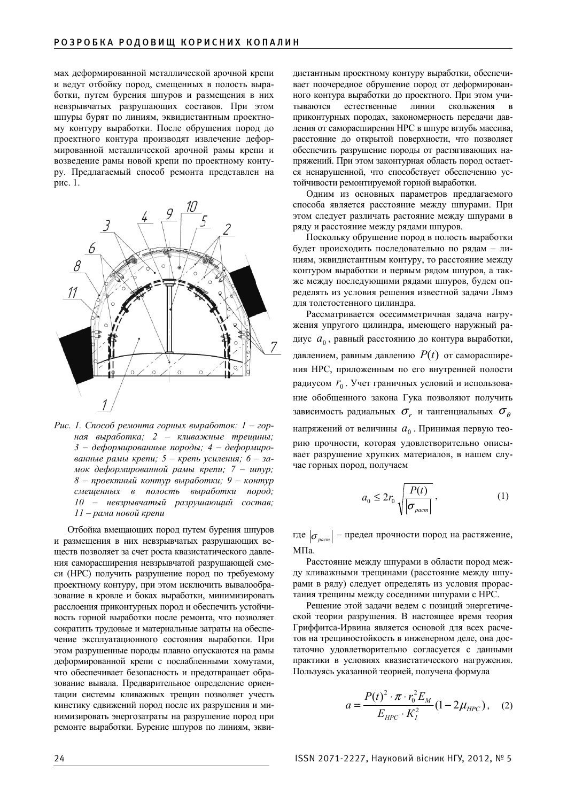мах деформированной металлической арочной крепи и ведут отбойку пород, смещенных в полость выработки, путем бурения шпуров и размещения в них невзрывчатых разрушающих составов. При этом шпуры бурят по линиям, эквидистантным проектному контуру выработки. После обрушения пород до проектного контура производят извлечение деформированной металлической арочной рамы крепи и возведение рамы новой крепи по проектному контуру. Предлагаемый способ ремонта представлен на рис. 1.



Рис. 1. Способ ремонта горных выработок: 1 – горная выработка; 2 – кливажные трещины; 3 – деформированные породы; 4 – деформиро*ɜɚɧɧɵɟ ɟ ɪɚɦɵ ɤɪɟɩɢ ɢ; 5 – ɤɪɟɩɶ ɭ ɭɫɢɥɟɧɢɹ; 6 – ɡɚ-* $\mu$ ок деформированной рамы крепи; 7 – шпур;  $8 -$  проектный контур выработки; 9 – контур смещенных в полость выработки пород;  $10 -$  невзрывчатый разрушающий состав; 11 – рама новой крепи

Отбойка вмещающих пород путем бурения шпуров и размещения в них невзрывчатых разрушающих веществ позволяет за счет роста квазистатического давления саморасширения невзрывчатой разрушающей смеси (НРС) получить разрушение пород по требуемому проектному контуру, при этом исключить вывалообразование в кровле и боках выработки, минимизировать расслоения приконтурных пород и обеспечить устойчивость горной выработки после ремонта, что позволяет сократить трудовые и материальные затраты на обеспечение эксплуатационного состояния выработки. При этом разрушенные породы плавно опускаются на рамы деформированной крепи с послабленными хомутами, что обеспечивает безопасность и предотвращает образование вывала. Предварительное определение ориентации системы кливажных трещин позволяет учесть кинетику сдвижений пород после их разрушения и минимизировать энергозатраты на разрушение пород при ремонте выработки. Бурение шпуров по линиям, эквидистантным проектному контуру выработки, обеспечивает поочередное обрушение пород от деформированного контура выработки до проектного. При этом учитываются естественные линии скольжения в приконтурных породах, закономерность передачи давления от саморасширения НРС в шпуре вглубь массива, расстояние до открытой поверхности, что позволяет обеспечить разрушение породы от растягивающих напряжений. При этом законтурная область пород остается ненарушенной, что способствует обеспечению устойчивости ремонтируемой горной выработки.

Одним из основных параметров предлагаемого способа является расстояние между шпурами. При этом следует различать растояние между шпурами в ряду и расстояние между рядами шпуров. ъ<br>и<br>и:

Поскольку обрушение пород в полость выработки будет происходить последовательно по рядам - линиям, эквидистантным контуру, то расстояние между контуром выработки и первым рядом шпуров, а также между последующими рядами шпуров, будем определять из условия решения известной задачи Лямэ для толстостенного цилиндра.

Рассматривается осесимметричная задача нагружения упругого цилиндра, имеющего наружный радиус  $a_0$ , равный расстоянию до контура выработки, давлением, равным давлению  $P(t)$  от саморасширения НРС, приложенным по его внутренней полости радиусом  $r_0$ . Учет граничных условий и использование обобщенного закона Гука позволяют получить зависимость радиальных  $\sigma_r$  и тангенциальных  $\sigma_{\theta}$ напряжений от величины  $a_0$ . Принимая первую теорию прочности, которая удовлетворительно описывает разрушение хрупких материалов, в нашем случае горных пород, получаем контуру выработк<br>нение пород от десло проектного. При<br>нии сколо проектного. При<br>нии сколо закономерность по<br>закономерность по загличи сколо и растяги породы от растяги и породы от растяги и породы от растяги способствует

$$
a_0 \le 2r_0 \sqrt{\frac{P(t)}{|\sigma_{\text{param}}|}},
$$
 (1)

где  $\left|\sigma_{\textit{param}}\right|$  – предел прочности пород на растяжение,  $M\Pi$ a.

Расстояние между шпурами в области пород между кливажными трещинами (расстояние между шпурами в ряду) следует определять из условия прорастания трещины между соседними шпурами с НРС.

Решение этой задачи ведем с позиций энергетической теории разрушения. В настоящее время теория Гриффитса-Ирвина является основой для всех расчетов на трещиностойкость в инженерном деле, она достаточно удовлетворительно согласуется с данными практики в условиях квазистатического нагружения. Пользуясь указанной теорией, получена формула

$$
a = \frac{P(t)^{2} \cdot \pi \cdot r_{0}^{2} E_{M}}{E_{HPC} \cdot K_{I}^{2}} (1 - 2\mu_{HPC}), \quad (2)
$$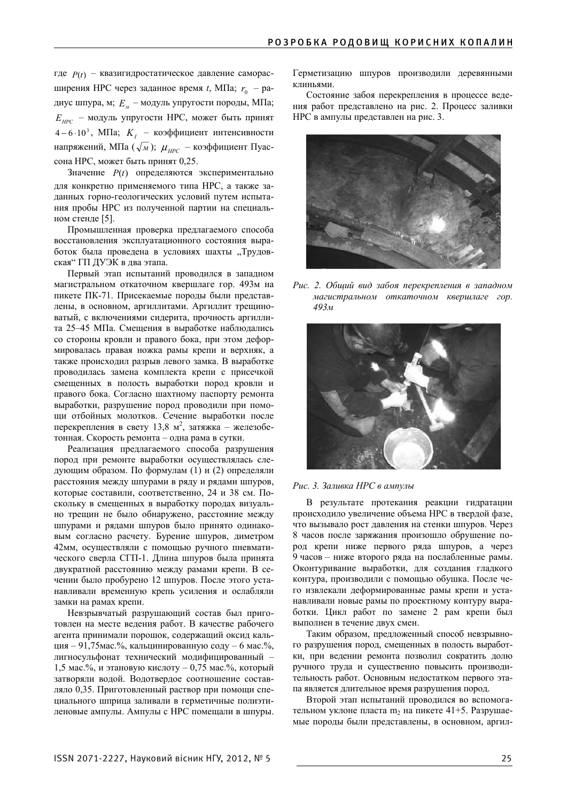где  $P(t)$  – квазигидростатическое давление саморасширения НРС через заданное время *t*, МПа;  $r_0$  – радиус шпура, м;  $E_y$  – модуль упругости породы, МПа; *E*<sub>*HPC</sub>* – модуль упругости HPC, может быть принят</sub> 4 − 6 ⋅10<sup>3</sup>, МПа; *K<sub>I</sub>* – коэффициент интенсивности напряжений, МПа  $(\sqrt{M})$ ;  $\mu_{HPC}$  – коэффициент Пуассона НРС, может быть принят 0,25.

Значение  $P(t)$  определяются экспериментально для конкретно применяемого типа HPC, а также заданных горно-геологических условий путем испытания пробы НРС из полученной партии на специальном стенде [5].

Промышленная проверка предлагаемого способа восстановления эксплуатационного состояния выработок была проведена в условиях шахты "Трудовская" ГП ДУЭК в два этапа.

Первый этап испытаний проводился в западном магистральном откаточном квершлаге гор. 493м на пикете ПК-71. Присекаемые породы были представлены, в основном, аргиллитами. Аргиллит трещиноватый, с включениями сидерита, прочность аргиллита 25–45 МПа. Смещения в выработке наблюдались со стороны кровли и правого бока, при этом деформировалась правая ножка рамы крепи и верхняк, а также происходил разрыв левого замка. В выработке проводилась замена комплекта крепи с присечкой смещенных в полость выработки пород кровли и правого бока. Согласно шахтному паспорту ремонта выработки, разрушение пород проводили при помощи отбойных молотков. Сечение выработки после перекрепления в свету 13,8 м<sup>2</sup>, затяжка – железобетонная. Скорость ремонта – одна рама в сутки.

Реализация предлагаемого способа разрушения пород при ремонте выработки осуществлялась следующим образом. По формулам (1) и (2) определяли расстояния между шпурами в ряду и рядами шпуров, которые составили, соответственно, 24 и 38 см. Поскольку в смещенных в выработку породах визуально трещин не было обнаружено, расстояние между шпурами и рядами шпуров было принято одинаковым согласно расчету. Бурение шпуров, диметром 42мм, осуществляли с помощью ручного пневматического сверла СГП-1. Длина шпуров была принята двукратной расстоянию между рамами крепи. В сечении было пробурено 12 шпуров. После этого устанавливали временную крепь усиления и ослабляли замки на рамах крепи.

Невзрывчатый разрушающий состав был приготовлен на месте ведения работ. В качестве рабочего агента принимали порошок, содержащий оксид кальция – 91,75мас.%, кальцинированную соду – 6 мас.%, лигносульфонат технический модифицированный - $1,5$  мас.%, и этановую кислоту – 0,75 мас.%, который затворяли водой. Водотвердое соотношение составляло 0,35. Приготовленный раствор при помощи специального шприца заливали в герметичные полиэтиленовые ампулы. Ампулы с НРС помещали в шпуры.

Герметизацию шпуров производили деревянными к пиньями

Состояние забоя перекрепления в процессе ведения работ представлено на рис. 2. Процесс заливки НРС в ампулы представлен на рис. 3.



Рис. 2. Общий вид забоя перекрепления в западном магистральном откаточном квершлаге гор. *493ɦ*



#### Рис. 3. Заливка НРС в ампулы

В результате протекания реакции гидратации происходило увеличение объема НРС в твердой фазе, что вызывало рост давления на стенки шпуров. Через 8 часов после заряжания произошло обрушение пород крепи ниже первого ряда шпуров, а через 9 часов – ниже второго ряда на послабленные рамы. Оконтуривание выработки, для создания гладкого контура, производили с помощью обушка. После чего извлекали деформированные рамы крепи и устанавливали новые рамы по проектному контуру выработки. Шикл работ по замене 2 рам крепи был выполнен в течение двух смен.

Таким образом, предложенный способ невзрывного разрушения пород, смещенных в полость выработки, при ведении ремонта позволил сократить долю ручного труда и существенно повысить производительность работ. Основным недостатком первого этапа является длительное время разрушения пород.

Второй этап испытаний проводился во вспомогательном уклоне пласта m<sub>2</sub> на пикете 41+5. Разрушаемые породы были представлены, в основном, аргил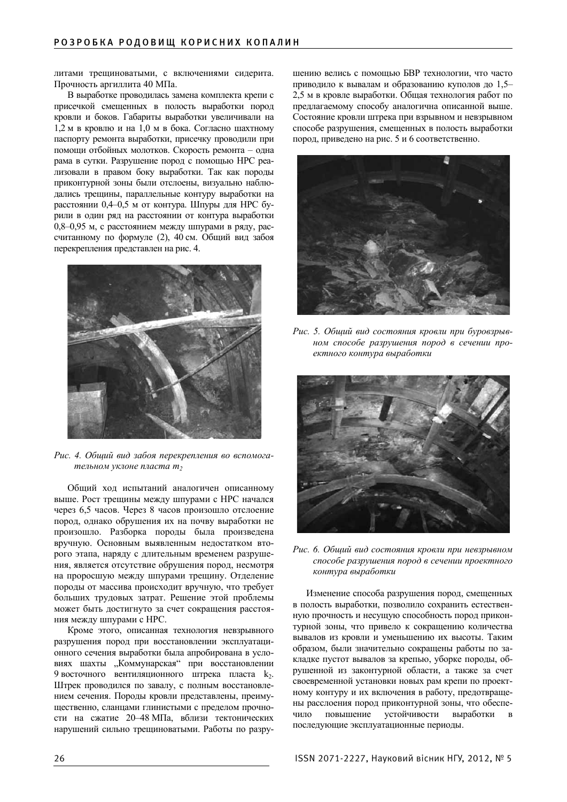литами трещиноватыми, с включениями сидерита. Прочность аргиллита 40 МПа.

В выработке проводилась замена комплекта крепи с присечкой смещенных в полость выработки пород кровли и боков. Габариты выработки увеличивали на  $1,2$  м в кровлю и на  $1,0$  м в бока. Согласно шахтному паспорту ремонта выработки, присечку проводили при помощи отбойных молотков. Скорость ремонта - одна рама в сутки. Разрушение пород с помощью НРС реализовали в правом боку выработки. Так как породы приконтурной зоны были отслоены, визуально наблюдались трещины, параллельные контуру выработки на расстоянии 0,4–0,5 м от контура. Шпуры для НРС бурили в один ряд на расстоянии от контура выработки 0,8–0,95 м, с расстоянием между шпурами в ряду, рассчитанному по формуле (2), 40 см. Общий вид забоя перекрепления представлен на рис. 4.



Рис. 4. Общий вид забоя перекрепления во вспомогательном уклоне пласта т<sub>2</sub>

Общий ход испытаний аналогичен описанному выше. Рост трещины между шпурами с НРС начался через 6,5 часов. Через 8 часов произошло отслоение пород, однако обрушения их на почву выработки не произошло. Разборка породы была произведена вручную. Основным выявленным недостатком второго этапа, наряду с длительным временем разрушения, является отсутствие обрушения пород, несмотря на проросшую между шпурами трещину. Отделение породы от массива происходит вручную, что требует больших трудовых затрат. Решение этой проблемы может быть достигнуто за счет сокращения расстояния между шпурами с НРС.

Кроме этого, описанная технология невзрывного разрушения пород при восстановлении эксплуатационного сечения выработки была апробирована в условиях шахты "Коммунарская" при восстановлении 9 восточного вентиляционного штрека пласта  $k_2$ . Штрек проводился по завалу, с полным восстановлением сечения. Породы кровли представлены, преимущественно, сланцами глинистыми с пределом прочности на сжатие 20–48 МПа, вблизи тектонических нарушений сильно трещиноватыми. Работы по разрушению велись с помощью БВР технологии, что часто приводило к вывалам и образованию куполов до 1,5-2,5 м в кровле выработки. Общая технология работ по предлагаемому способу аналогична описанной выше. Состояние кровли штрека при взрывном и невзрывном способе разрушения, смещенных в полость выработки пород, приведено на рис. 5 и 6 соответственно.



Рис. 5. Обший вид состояния кровли при буровзрывном способе разрушения пород в сечении проектного контура выработки



Рис. 6. Общий вид состояния кровли при невзрывном способе разрушения пород в сечении проектного  $$ 

Изменение способа разрушения пород. смешенных в полость выработки, позволило сохранить естественную прочность и несущую способность пород приконтурной зоны, что привело к сокращению количества вывалов из кровли и уменьшению их высоты. Таким образом, были значительно сокращены работы по закладке пустот вывалов за крепью, уборке породы, обрушенной из законтурной области, а также за счет своевременной установки новых рам крепи по проектному контуру и их включения в работу, предотвращены расслоения пород приконтурной зоны, что обеспечило повышение устойчивости выработки в последующие эксплуатационные периоды.